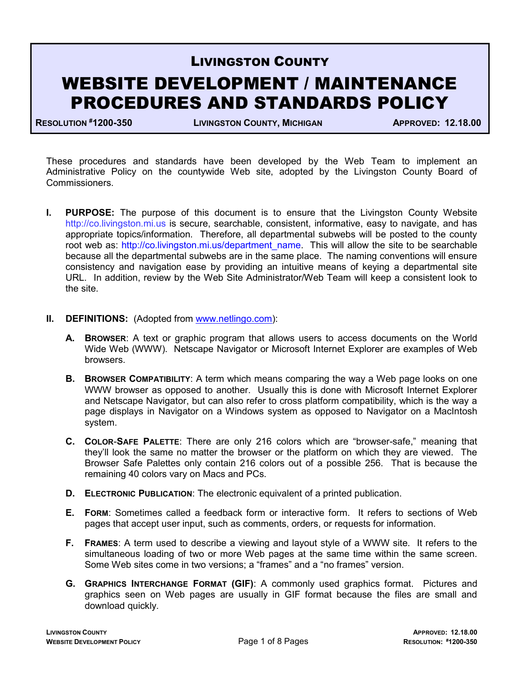## LIVINGSTON COUNTY

# WEBSITE DEVELOPMENT / MAINTENANCE PROCEDURES AND STANDARDS POLICY

RESOLUTION #1200-350 LIVINGSTON COUNTY, MICHIGAN APPROVED: 12.18.00

These procedures and standards have been developed by the Web Team to implement an Administrative Policy on the countywide Web site, adopted by the Livingston County Board of Commissioners.

- **I.** PURPOSE: The purpose of this document is to ensure that the Livingston County Website http://co.livingston.mi.us is secure, searchable, consistent, informative, easy to navigate, and has appropriate topics/information. Therefore, all departmental subwebs will be posted to the county root web as: http://co.livingston.mi.us/department\_name. This will allow the site to be searchable because all the departmental subwebs are in the same place. The naming conventions will ensure consistency and navigation ease by providing an intuitive means of keying a departmental site URL. In addition, review by the Web Site Administrator/Web Team will keep a consistent look to the site.
- **II.** DEFINITIONS: (Adopted from www.netlingo.com):
	- A. BROWSER: A text or graphic program that allows users to access documents on the World Wide Web (WWW). Netscape Navigator or Microsoft Internet Explorer are examples of Web browsers.
	- **B.** BROWSER COMPATIBILITY: A term which means comparing the way a Web page looks on one WWW browser as opposed to another. Usually this is done with Microsoft Internet Explorer and Netscape Navigator, but can also refer to cross platform compatibility, which is the way a page displays in Navigator on a Windows system as opposed to Navigator on a MacIntosh system.
	- C. COLOR-SAFE PALETTE: There are only 216 colors which are "browser-safe," meaning that they'll look the same no matter the browser or the platform on which they are viewed. The Browser Safe Palettes only contain 216 colors out of a possible 256. That is because the remaining 40 colors vary on Macs and PCs.
	- D. ELECTRONIC PUBLICATION: The electronic equivalent of a printed publication.
	- E. FORM: Sometimes called a feedback form or interactive form. It refers to sections of Web pages that accept user input, such as comments, orders, or requests for information.
	- F. FRAMES: A term used to describe a viewing and layout style of a WWW site. It refers to the simultaneous loading of two or more Web pages at the same time within the same screen. Some Web sites come in two versions; a "frames" and a "no frames" version.
	- G. GRAPHICS INTERCHANGE FORMAT (GIF): A commonly used graphics format. Pictures and graphics seen on Web pages are usually in GIF format because the files are small and download quickly.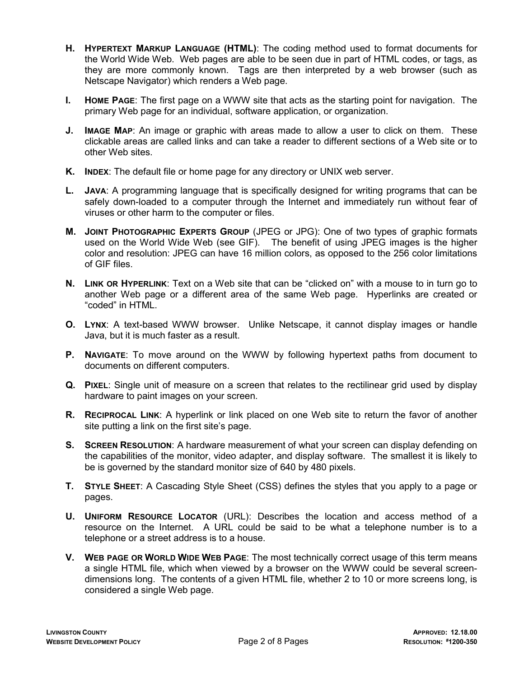- H. HYPERTEXT MARKUP LANGUAGE (HTML): The coding method used to format documents for the World Wide Web. Web pages are able to be seen due in part of HTML codes, or tags, as they are more commonly known. Tags are then interpreted by a web browser (such as Netscape Navigator) which renders a Web page.
- I. HOME PAGE: The first page on a WWW site that acts as the starting point for navigation. The primary Web page for an individual, software application, or organization.
- J. IMAGE MAP: An image or graphic with areas made to allow a user to click on them. These clickable areas are called links and can take a reader to different sections of a Web site or to other Web sites.
- K. INDEX: The default file or home page for any directory or UNIX web server.
- L. JAVA: A programming language that is specifically designed for writing programs that can be safely down-loaded to a computer through the Internet and immediately run without fear of viruses or other harm to the computer or files.
- M. JOINT PHOTOGRAPHIC EXPERTS GROUP (JPEG or JPG): One of two types of graphic formats used on the World Wide Web (see GIF). The benefit of using JPEG images is the higher color and resolution: JPEG can have 16 million colors, as opposed to the 256 color limitations of GIF files.
- N. LINK OR HYPERLINK: Text on a Web site that can be "clicked on" with a mouse to in turn go to another Web page or a different area of the same Web page. Hyperlinks are created or "coded" in HTML.
- O. LYNX: A text-based WWW browser. Unlike Netscape, it cannot display images or handle Java, but it is much faster as a result.
- P. NAVIGATE: To move around on the WWW by following hypertext paths from document to documents on different computers.
- Q. PIXEL: Single unit of measure on a screen that relates to the rectilinear grid used by display hardware to paint images on your screen.
- R. RECIPROCAL LINK: A hyperlink or link placed on one Web site to return the favor of another site putting a link on the first site's page.
- S. SCREEN RESOLUTION: A hardware measurement of what your screen can display defending on the capabilities of the monitor, video adapter, and display software. The smallest it is likely to be is governed by the standard monitor size of 640 by 480 pixels.
- T. STYLE SHEET: A Cascading Style Sheet (CSS) defines the styles that you apply to a page or pages.
- U. UNIFORM RESOURCE LOCATOR (URL): Describes the location and access method of a resource on the Internet. A URL could be said to be what a telephone number is to a telephone or a street address is to a house.
- V. WEB PAGE OR WORLD WIDE WEB PAGE: The most technically correct usage of this term means a single HTML file, which when viewed by a browser on the WWW could be several screendimensions long. The contents of a given HTML file, whether 2 to 10 or more screens long, is considered a single Web page.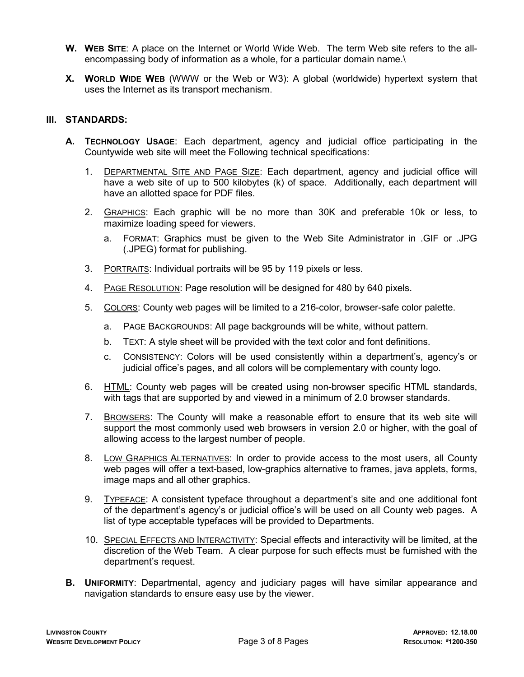- W. WEB SITE: A place on the Internet or World Wide Web. The term Web site refers to the allencompassing body of information as a whole, for a particular domain name.\
- X. WORLD WIDE WEB (WWW or the Web or W3): A global (worldwide) hypertext system that uses the Internet as its transport mechanism.

### III. STANDARDS:

- A. TECHNOLOGY USAGE: Each department, agency and judicial office participating in the Countywide web site will meet the Following technical specifications:
	- 1. DEPARTMENTAL SITE AND PAGE SIZE: Each department, agency and judicial office will have a web site of up to 500 kilobytes (k) of space. Additionally, each department will have an allotted space for PDF files.
	- 2. GRAPHICS: Each graphic will be no more than 30K and preferable 10k or less, to maximize loading speed for viewers.
		- a. FORMAT: Graphics must be given to the Web Site Administrator in .GIF or .JPG (.JPEG) format for publishing.
	- 3. PORTRAITS: Individual portraits will be 95 by 119 pixels or less.
	- 4. PAGE RESOLUTION: Page resolution will be designed for 480 by 640 pixels.
	- 5. COLORS: County web pages will be limited to a 216-color, browser-safe color palette.
		- a. PAGE BACKGROUNDS: All page backgrounds will be white, without pattern.
		- b. TEXT: A style sheet will be provided with the text color and font definitions.
		- c. CONSISTENCY: Colors will be used consistently within a department's, agency's or judicial office's pages, and all colors will be complementary with county logo.
	- 6. HTML: County web pages will be created using non-browser specific HTML standards, with tags that are supported by and viewed in a minimum of 2.0 browser standards.
	- 7. BROWSERS: The County will make a reasonable effort to ensure that its web site will support the most commonly used web browsers in version 2.0 or higher, with the goal of allowing access to the largest number of people.
	- 8. LOW GRAPHICS ALTERNATIVES: In order to provide access to the most users, all County web pages will offer a text-based, low-graphics alternative to frames, java applets, forms, image maps and all other graphics.
	- 9. TYPEFACE: A consistent typeface throughout a department's site and one additional font of the department's agency's or judicial office's will be used on all County web pages. A list of type acceptable typefaces will be provided to Departments.
	- 10. SPECIAL EFFECTS AND INTERACTIVITY: Special effects and interactivity will be limited, at the discretion of the Web Team. A clear purpose for such effects must be furnished with the department's request.
- B. UNIFORMITY: Departmental, agency and judiciary pages will have similar appearance and navigation standards to ensure easy use by the viewer.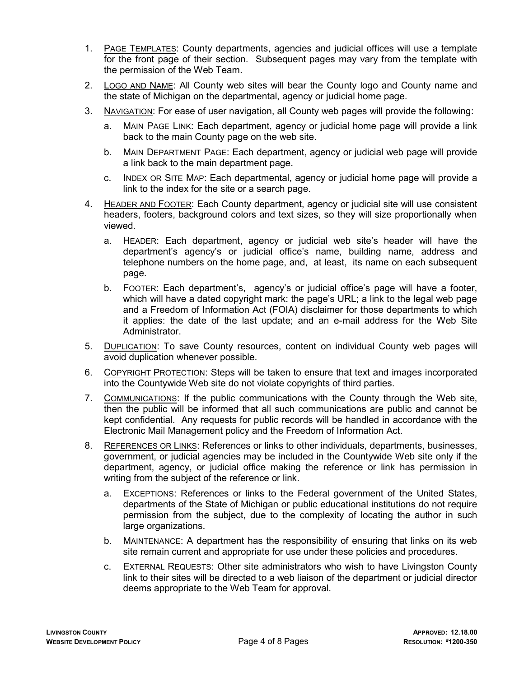- 1. PAGE TEMPLATES: County departments, agencies and judicial offices will use a template for the front page of their section. Subsequent pages may vary from the template with the permission of the Web Team.
- 2. LOGO AND NAME: All County web sites will bear the County logo and County name and the state of Michigan on the departmental, agency or judicial home page.
- 3. NAVIGATION: For ease of user navigation, all County web pages will provide the following:
	- a. MAIN PAGE LINK: Each department, agency or judicial home page will provide a link back to the main County page on the web site.
	- b. MAIN DEPARTMENT PAGE: Each department, agency or judicial web page will provide a link back to the main department page.
	- c. INDEX OR SITE MAP: Each departmental, agency or judicial home page will provide a link to the index for the site or a search page.
- 4. HEADER AND FOOTER: Each County department, agency or judicial site will use consistent headers, footers, background colors and text sizes, so they will size proportionally when viewed.
	- a. HEADER: Each department, agency or judicial web site's header will have the department's agency's or judicial office's name, building name, address and telephone numbers on the home page, and, at least, its name on each subsequent page.
	- b. FOOTER: Each department's, agency's or judicial office's page will have a footer, which will have a dated copyright mark: the page's URL; a link to the legal web page and a Freedom of Information Act (FOIA) disclaimer for those departments to which it applies: the date of the last update; and an e-mail address for the Web Site Administrator.
- 5. DUPLICATION: To save County resources, content on individual County web pages will avoid duplication whenever possible.
- 6. COPYRIGHT PROTECTION: Steps will be taken to ensure that text and images incorporated into the Countywide Web site do not violate copyrights of third parties.
- 7. COMMUNICATIONS: If the public communications with the County through the Web site, then the public will be informed that all such communications are public and cannot be kept confidential. Any requests for public records will be handled in accordance with the Electronic Mail Management policy and the Freedom of Information Act.
- 8. REFERENCES OR LINKS: References or links to other individuals, departments, businesses, government, or judicial agencies may be included in the Countywide Web site only if the department, agency, or judicial office making the reference or link has permission in writing from the subject of the reference or link.
	- a. EXCEPTIONS: References or links to the Federal government of the United States, departments of the State of Michigan or public educational institutions do not require permission from the subject, due to the complexity of locating the author in such large organizations.
	- b. MAINTENANCE: A department has the responsibility of ensuring that links on its web site remain current and appropriate for use under these policies and procedures.
	- c. EXTERNAL REQUESTS: Other site administrators who wish to have Livingston County link to their sites will be directed to a web liaison of the department or judicial director deems appropriate to the Web Team for approval.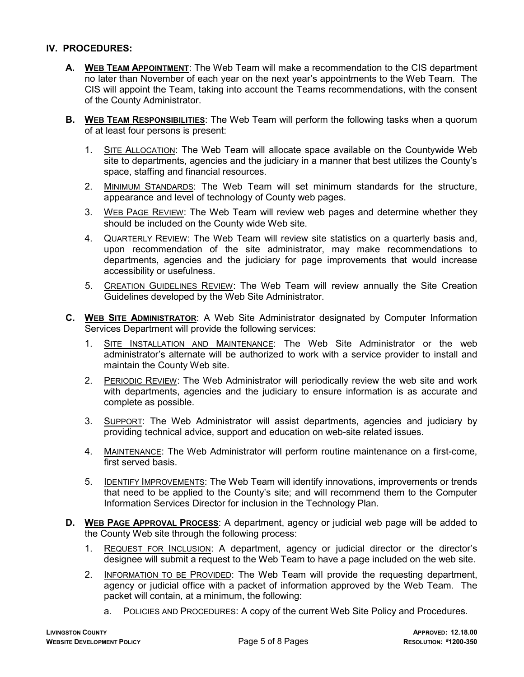### IV. PROCEDURES:

- A. WEB TEAM APPOINTMENT: The Web Team will make a recommendation to the CIS department no later than November of each year on the next year's appointments to the Web Team. The CIS will appoint the Team, taking into account the Teams recommendations, with the consent of the County Administrator.
- B. WEB TEAM RESPONSIBILITIES: The Web Team will perform the following tasks when a quorum of at least four persons is present:
	- 1. SITE ALLOCATION: The Web Team will allocate space available on the Countywide Web site to departments, agencies and the judiciary in a manner that best utilizes the County's space, staffing and financial resources.
	- 2. MINIMUM STANDARDS: The Web Team will set minimum standards for the structure, appearance and level of technology of County web pages.
	- 3. WEB PAGE REVIEW: The Web Team will review web pages and determine whether they should be included on the County wide Web site.
	- 4. QUARTERLY REVIEW: The Web Team will review site statistics on a quarterly basis and, upon recommendation of the site administrator, may make recommendations to departments, agencies and the judiciary for page improvements that would increase accessibility or usefulness.
	- 5. CREATION GUIDELINES REVIEW: The Web Team will review annually the Site Creation Guidelines developed by the Web Site Administrator.
- C. WEB SITE ADMINISTRATOR: A Web Site Administrator designated by Computer Information Services Department will provide the following services:
	- 1. SITE INSTALLATION AND MAINTENANCE: The Web Site Administrator or the web administrator's alternate will be authorized to work with a service provider to install and maintain the County Web site.
	- 2. PERIODIC REVIEW: The Web Administrator will periodically review the web site and work with departments, agencies and the judiciary to ensure information is as accurate and complete as possible.
	- 3. SUPPORT: The Web Administrator will assist departments, agencies and judiciary by providing technical advice, support and education on web-site related issues.
	- 4. MAINTENANCE: The Web Administrator will perform routine maintenance on a first-come, first served basis.
	- 5. IDENTIFY IMPROVEMENTS: The Web Team will identify innovations, improvements or trends that need to be applied to the County's site; and will recommend them to the Computer Information Services Director for inclusion in the Technology Plan.
- D. WEB PAGE APPROVAL PROCESS: A department, agency or judicial web page will be added to the County Web site through the following process:
	- 1. REQUEST FOR INCLUSION: A department, agency or judicial director or the director's designee will submit a request to the Web Team to have a page included on the web site.
	- 2. INFORMATION TO BE PROVIDED: The Web Team will provide the requesting department, agency or judicial office with a packet of information approved by the Web Team. The packet will contain, at a minimum, the following:
		- a. POLICIES AND PROCEDURES: A copy of the current Web Site Policy and Procedures.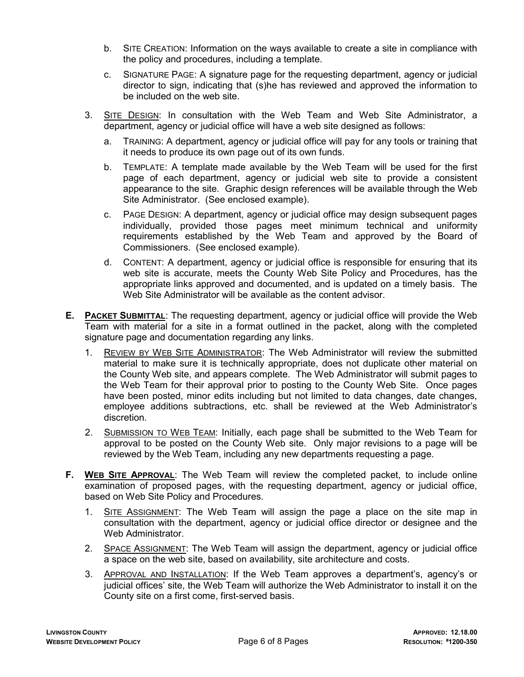- b. SITE CREATION: Information on the ways available to create a site in compliance with the policy and procedures, including a template.
- c. SIGNATURE PAGE: A signature page for the requesting department, agency or judicial director to sign, indicating that (s)he has reviewed and approved the information to be included on the web site.
- 3. SITE DESIGN: In consultation with the Web Team and Web Site Administrator, a department, agency or judicial office will have a web site designed as follows:
	- a. TRAINING: A department, agency or judicial office will pay for any tools or training that it needs to produce its own page out of its own funds.
	- b. TEMPLATE: A template made available by the Web Team will be used for the first page of each department, agency or judicial web site to provide a consistent appearance to the site. Graphic design references will be available through the Web Site Administrator. (See enclosed example).
	- c. PAGE DESIGN: A department, agency or judicial office may design subsequent pages individually, provided those pages meet minimum technical and uniformity requirements established by the Web Team and approved by the Board of Commissioners. (See enclosed example).
	- d. CONTENT: A department, agency or judicial office is responsible for ensuring that its web site is accurate, meets the County Web Site Policy and Procedures, has the appropriate links approved and documented, and is updated on a timely basis. The Web Site Administrator will be available as the content advisor.
- E. PACKET SUBMITTAL: The requesting department, agency or judicial office will provide the Web Team with material for a site in a format outlined in the packet, along with the completed signature page and documentation regarding any links.
	- 1. REVIEW BY WEB SITE ADMINISTRATOR: The Web Administrator will review the submitted material to make sure it is technically appropriate, does not duplicate other material on the County Web site, and appears complete. The Web Administrator will submit pages to the Web Team for their approval prior to posting to the County Web Site. Once pages have been posted, minor edits including but not limited to data changes, date changes, employee additions subtractions, etc. shall be reviewed at the Web Administrator's discretion.
	- 2. SUBMISSION TO WEB TEAM: Initially, each page shall be submitted to the Web Team for approval to be posted on the County Web site. Only major revisions to a page will be reviewed by the Web Team, including any new departments requesting a page.
- F. WEB SITE APPROVAL: The Web Team will review the completed packet, to include online examination of proposed pages, with the requesting department, agency or judicial office, based on Web Site Policy and Procedures.
	- 1. SITE ASSIGNMENT: The Web Team will assign the page a place on the site map in consultation with the department, agency or judicial office director or designee and the Web Administrator.
	- 2. SPACE ASSIGNMENT: The Web Team will assign the department, agency or judicial office a space on the web site, based on availability, site architecture and costs.
	- 3. APPROVAL AND INSTALLATION: If the Web Team approves a department's, agency's or judicial offices' site, the Web Team will authorize the Web Administrator to install it on the County site on a first come, first-served basis.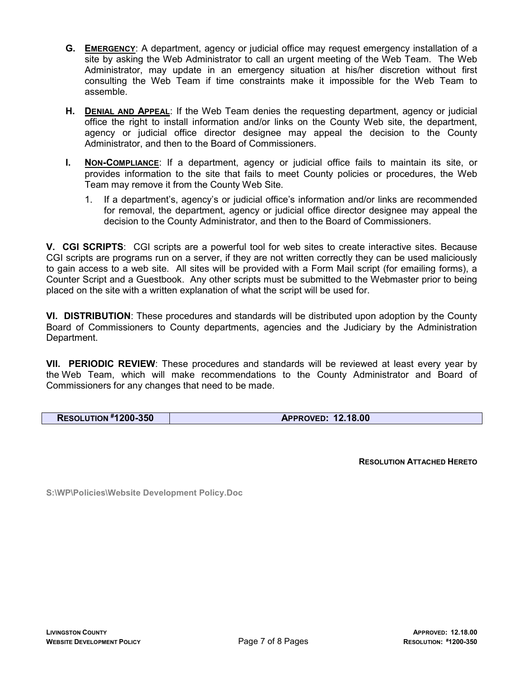- G. EMERGENCY: A department, agency or judicial office may request emergency installation of a site by asking the Web Administrator to call an urgent meeting of the Web Team. The Web Administrator, may update in an emergency situation at his/her discretion without first consulting the Web Team if time constraints make it impossible for the Web Team to assemble.
- H. DENIAL AND APPEAL: If the Web Team denies the requesting department, agency or judicial office the right to install information and/or links on the County Web site, the department, agency or judicial office director designee may appeal the decision to the County Administrator, and then to the Board of Commissioners.
- **I.** NON-COMPLIANCE: If a department, agency or judicial office fails to maintain its site, or provides information to the site that fails to meet County policies or procedures, the Web Team may remove it from the County Web Site.
	- 1. If a department's, agency's or judicial office's information and/or links are recommended for removal, the department, agency or judicial office director designee may appeal the decision to the County Administrator, and then to the Board of Commissioners.

V. CGI SCRIPTS: CGI scripts are a powerful tool for web sites to create interactive sites. Because CGI scripts are programs run on a server, if they are not written correctly they can be used maliciously to gain access to a web site. All sites will be provided with a Form Mail script (for emailing forms), a Counter Script and a Guestbook. Any other scripts must be submitted to the Webmaster prior to being placed on the site with a written explanation of what the script will be used for.

VI. DISTRIBUTION: These procedures and standards will be distributed upon adoption by the County Board of Commissioners to County departments, agencies and the Judiciary by the Administration Department.

VII. PERIODIC REVIEW: These procedures and standards will be reviewed at least every year by the Web Team, which will make recommendations to the County Administrator and Board of Commissioners for any changes that need to be made.

RESOLUTION #1200-350 APPROVED: 12.18.00

RESOLUTION ATTACHED HERETO

S:\WP\Policies\Website Development Policy.Doc